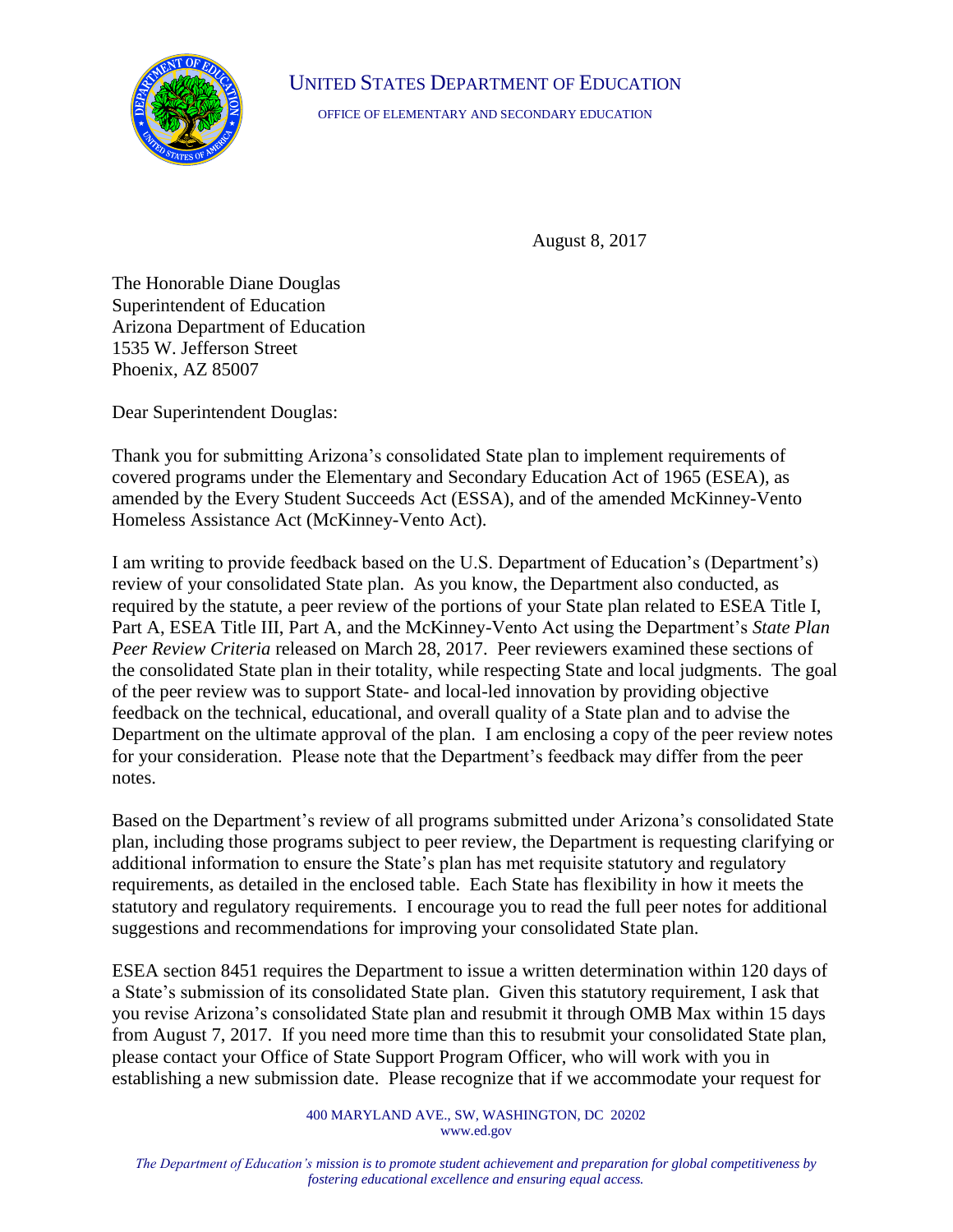

UNITED STATES DEPARTMENT OF EDUCATION

OFFICE OF ELEMENTARY AND SECONDARY EDUCATION

August 8, 2017

The Honorable Diane Douglas Superintendent of Education Arizona Department of Education 1535 W. Jefferson Street Phoenix, AZ 85007

Dear Superintendent Douglas:

Thank you for submitting Arizona's consolidated State plan to implement requirements of covered programs under the Elementary and Secondary Education Act of 1965 (ESEA), as amended by the Every Student Succeeds Act (ESSA), and of the amended McKinney-Vento Homeless Assistance Act (McKinney-Vento Act).

I am writing to provide feedback based on the U.S. Department of Education's (Department's) review of your consolidated State plan. As you know, the Department also conducted, as required by the statute, a peer review of the portions of your State plan related to ESEA Title I, Part A, ESEA Title III, Part A, and the McKinney-Vento Act using the Department's *State Plan Peer Review Criteria* released on March 28, 2017. Peer reviewers examined these sections of the consolidated State plan in their totality, while respecting State and local judgments. The goal of the peer review was to support State- and local-led innovation by providing objective feedback on the technical, educational, and overall quality of a State plan and to advise the Department on the ultimate approval of the plan. I am enclosing a copy of the peer review notes for your consideration. Please note that the Department's feedback may differ from the peer notes.

Based on the Department's review of all programs submitted under Arizona's consolidated State plan, including those programs subject to peer review, the Department is requesting clarifying or additional information to ensure the State's plan has met requisite statutory and regulatory requirements, as detailed in the enclosed table. Each State has flexibility in how it meets the statutory and regulatory requirements. I encourage you to read the full peer notes for additional suggestions and recommendations for improving your consolidated State plan.

ESEA section 8451 requires the Department to issue a written determination within 120 days of a State's submission of its consolidated State plan. Given this statutory requirement, I ask that you revise Arizona's consolidated State plan and resubmit it through OMB Max within 15 days from August 7, 2017. If you need more time than this to resubmit your consolidated State plan, please contact your Office of State Support Program Officer, who will work with you in establishing a new submission date. Please recognize that if we accommodate your request for

> 400 MARYLAND AVE., SW, WASHINGTON, DC 20202 www.ed.gov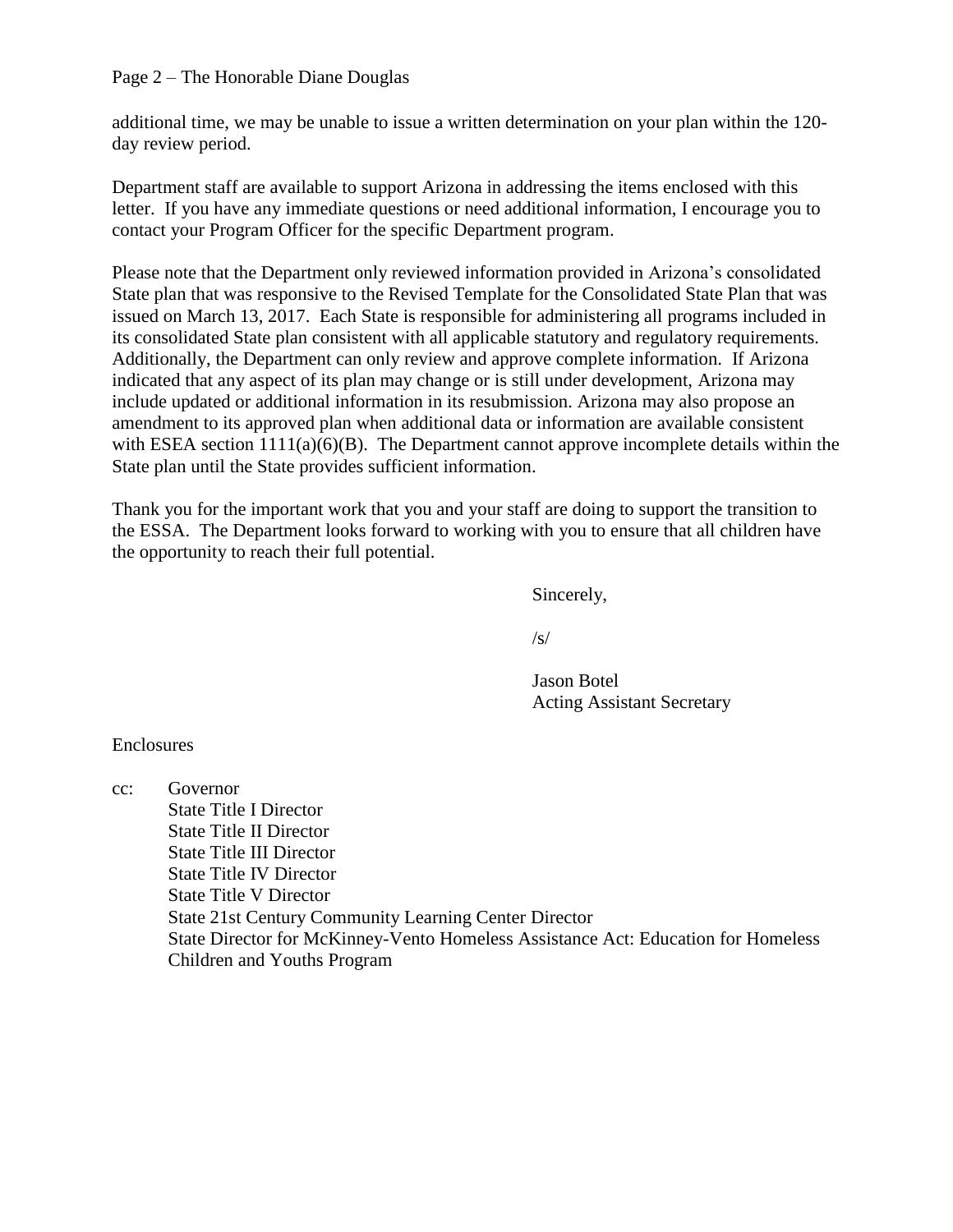Page 2 – The Honorable Diane Douglas

additional time, we may be unable to issue a written determination on your plan within the 120 day review period.

Department staff are available to support Arizona in addressing the items enclosed with this letter. If you have any immediate questions or need additional information, I encourage you to contact your Program Officer for the specific Department program.

Please note that the Department only reviewed information provided in Arizona's consolidated State plan that was responsive to the Revised Template for the Consolidated State Plan that was issued on March 13, 2017. Each State is responsible for administering all programs included in its consolidated State plan consistent with all applicable statutory and regulatory requirements. Additionally, the Department can only review and approve complete information. If Arizona indicated that any aspect of its plan may change or is still under development, Arizona may include updated or additional information in its resubmission. Arizona may also propose an amendment to its approved plan when additional data or information are available consistent with ESEA section  $1111(a)(6)(B)$ . The Department cannot approve incomplete details within the State plan until the State provides sufficient information.

Thank you for the important work that you and your staff are doing to support the transition to the ESSA. The Department looks forward to working with you to ensure that all children have the opportunity to reach their full potential.

Sincerely,

 $\sqrt{s}$ 

Jason Botel Acting Assistant Secretary

Enclosures

cc: Governor State Title I Director State Title II Director State Title III Director State Title IV Director State Title V Director State 21st Century Community Learning Center Director State Director for McKinney-Vento Homeless Assistance Act: Education for Homeless Children and Youths Program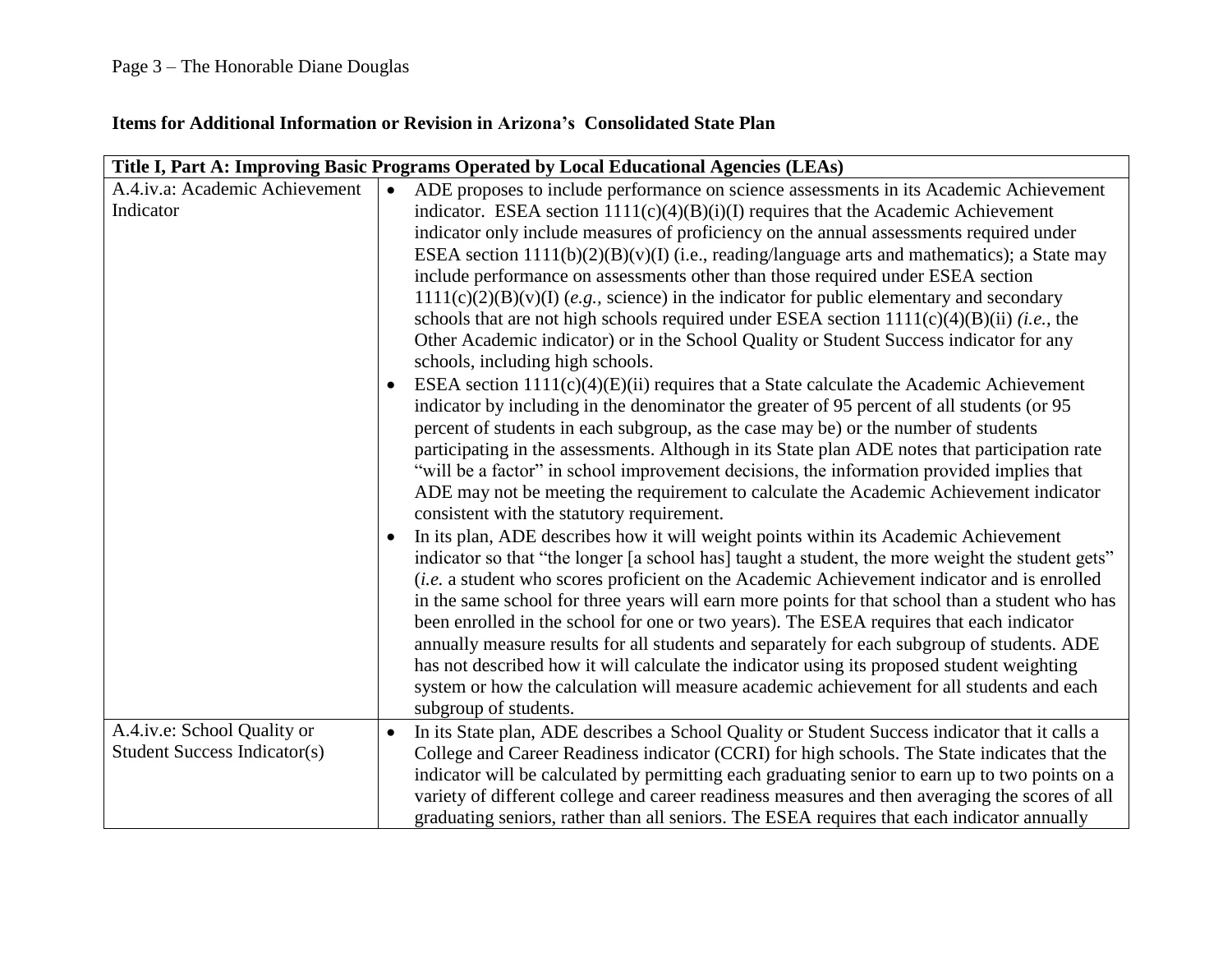## **Items for Additional Information or Revision in Arizona's Consolidated State Plan**

| Title I, Part A: Improving Basic Programs Operated by Local Educational Agencies (LEAs) |                                                                                                                                                                                                    |
|-----------------------------------------------------------------------------------------|----------------------------------------------------------------------------------------------------------------------------------------------------------------------------------------------------|
| A.4.iv.a: Academic Achievement                                                          | ADE proposes to include performance on science assessments in its Academic Achievement<br>$\bullet$                                                                                                |
| Indicator                                                                               | indicator. ESEA section $1111(c)(4)(B)(i)(I)$ requires that the Academic Achievement                                                                                                               |
|                                                                                         | indicator only include measures of proficiency on the annual assessments required under                                                                                                            |
|                                                                                         | ESEA section $1111(b)(2)(B)(v)(I)$ (i.e., reading/language arts and mathematics); a State may                                                                                                      |
|                                                                                         | include performance on assessments other than those required under ESEA section                                                                                                                    |
|                                                                                         | $1111(c)(2)(B)(v)(I)$ (e.g., science) in the indicator for public elementary and secondary                                                                                                         |
|                                                                                         | schools that are not high schools required under ESEA section $1111(c)(4)(B)(ii)$ ( <i>i.e.</i> , the                                                                                              |
|                                                                                         | Other Academic indicator) or in the School Quality or Student Success indicator for any<br>schools, including high schools.                                                                        |
|                                                                                         | ESEA section 1111(c)(4)(E)(ii) requires that a State calculate the Academic Achievement                                                                                                            |
|                                                                                         | indicator by including in the denominator the greater of 95 percent of all students (or 95                                                                                                         |
|                                                                                         | percent of students in each subgroup, as the case may be) or the number of students                                                                                                                |
|                                                                                         | participating in the assessments. Although in its State plan ADE notes that participation rate                                                                                                     |
|                                                                                         | "will be a factor" in school improvement decisions, the information provided implies that                                                                                                          |
|                                                                                         | ADE may not be meeting the requirement to calculate the Academic Achievement indicator                                                                                                             |
|                                                                                         | consistent with the statutory requirement.                                                                                                                                                         |
|                                                                                         | In its plan, ADE describes how it will weight points within its Academic Achievement                                                                                                               |
|                                                                                         | indicator so that "the longer [a school has] taught a student, the more weight the student gets"                                                                                                   |
|                                                                                         | (i.e. a student who scores proficient on the Academic Achievement indicator and is enrolled                                                                                                        |
|                                                                                         | in the same school for three years will earn more points for that school than a student who has                                                                                                    |
|                                                                                         | been enrolled in the school for one or two years). The ESEA requires that each indicator                                                                                                           |
|                                                                                         | annually measure results for all students and separately for each subgroup of students. ADE                                                                                                        |
|                                                                                         | has not described how it will calculate the indicator using its proposed student weighting                                                                                                         |
|                                                                                         | system or how the calculation will measure academic achievement for all students and each<br>subgroup of students.                                                                                 |
| A.4.iv.e: School Quality or                                                             |                                                                                                                                                                                                    |
| <b>Student Success Indicator(s)</b>                                                     | In its State plan, ADE describes a School Quality or Student Success indicator that it calls a<br>$\bullet$                                                                                        |
|                                                                                         | College and Career Readiness indicator (CCRI) for high schools. The State indicates that the                                                                                                       |
|                                                                                         | indicator will be calculated by permitting each graduating senior to earn up to two points on a<br>variety of different college and career readiness measures and then averaging the scores of all |
|                                                                                         | graduating seniors, rather than all seniors. The ESEA requires that each indicator annually                                                                                                        |
|                                                                                         |                                                                                                                                                                                                    |